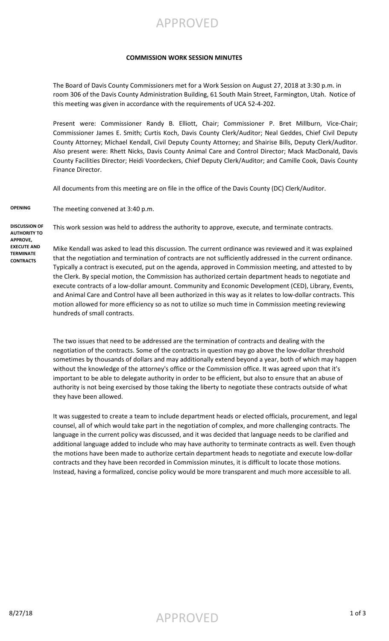## APPROVED

#### **COMMISSION WORK SESSION MINUTES**

The Board of Davis County Commissioners met for a Work Session on August 27, 2018 at 3:30 p.m. in room 306 of the Davis County Administration Building, 61 South Main Street, Farmington, Utah. Notice of this meeting was given in accordance with the requirements of UCA 52-4-202.

Present were: Commissioner Randy B. Elliott, Chair; Commissioner P. Bret Millburn, Vice-Chair; Commissioner James E. Smith; Curtis Koch, Davis County Clerk/Auditor; Neal Geddes, Chief Civil Deputy County Attorney; Michael Kendall, Civil Deputy County Attorney; and Shairise Bills, Deputy Clerk/Auditor. Also present were: Rhett Nicks, Davis County Animal Care and Control Director; Mack MacDonald, Davis County Facilities Director; Heidi Voordeckers, Chief Deputy Clerk/Auditor; and Camille Cook, Davis County Finance Director.

All documents from this meeting are on file in the office of the Davis County (DC) Clerk/Auditor.

**OPENING** The meeting convened at 3:40 p.m.

**DISCUSSION OF AUTHORITY TO APPROVE, EXECUTE AND TERMINATE CONTRACTS**

This work session was held to address the authority to approve, execute, and terminate contracts.

Mike Kendall was asked to lead this discussion. The current ordinance was reviewed and it was explained that the negotiation and termination of contracts are not sufficiently addressed in the current ordinance. Typically a contract is executed, put on the agenda, approved in Commission meeting, and attested to by the Clerk. By special motion, the Commission has authorized certain department heads to negotiate and execute contracts of a low-dollar amount. Community and Economic Development (CED), Library, Events, and Animal Care and Control have all been authorized in this way as it relates to low-dollar contracts. This motion allowed for more efficiency so as not to utilize so much time in Commission meeting reviewing hundreds of small contracts.

The two issues that need to be addressed are the termination of contracts and dealing with the negotiation of the contracts. Some of the contracts in question may go above the low-dollar threshold sometimes by thousands of dollars and may additionally extend beyond a year, both of which may happen without the knowledge of the attorney's office or the Commission office. It was agreed upon that it's important to be able to delegate authority in order to be efficient, but also to ensure that an abuse of authority is not being exercised by those taking the liberty to negotiate these contracts outside of what they have been allowed.

It was suggested to create a team to include department heads or elected officials, procurement, and legal counsel, all of which would take part in the negotiation of complex, and more challenging contracts. The language in the current policy was discussed, and it was decided that language needs to be clarified and additional language added to include who may have authority to terminate contracts as well. Even though the motions have been made to authorize certain department heads to negotiate and execute low-dollar contracts and they have been recorded in Commission minutes, it is difficult to locate those motions. Instead, having a formalized, concise policy would be more transparent and much more accessible to all.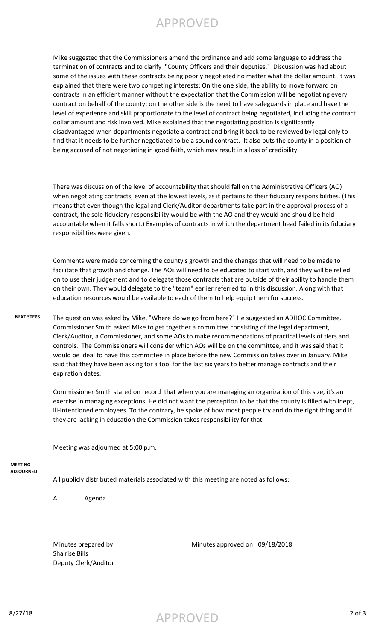# APPROVED

Mike suggested that the Commissioners amend the ordinance and add some language to address the termination of contracts and to clarify "County Officers and their deputies." Discussion was had about some of the issues with these contracts being poorly negotiated no matter what the dollar amount. It was explained that there were two competing interests: On the one side, the ability to move forward on contracts in an efficient manner without the expectation that the Commission will be negotiating every contract on behalf of the county; on the other side is the need to have safeguards in place and have the level of experience and skill proportionate to the level of contract being negotiated, including the contract dollar amount and risk involved. Mike explained that the negotiating position is significantly disadvantaged when departments negotiate a contract and bring it back to be reviewed by legal only to find that it needs to be further negotiated to be a sound contract. It also puts the county in a position of being accused of not negotiating in good faith, which may result in a loss of credibility.

There was discussion of the level of accountability that should fall on the Administrative Officers (AO) when negotiating contracts, even at the lowest levels, as it pertains to their fiduciary responsibilities. (This means that even though the legal and Clerk/Auditor departments take part in the approval process of a contract, the sole fiduciary responsibility would be with the AO and they would and should be held accountable when it falls short.) Examples of contracts in which the department head failed in its fiduciary responsibilities were given.

Comments were made concerning the county's growth and the changes that will need to be made to facilitate that growth and change. The AOs will need to be educated to start with, and they will be relied on to use their judgement and to delegate those contracts that are outside of their ability to handle them on their own. They would delegate to the "team" earlier referred to in this discussion. Along with that education resources would be available to each of them to help equip them for success.

### **NEXT STEPS** The question was asked by Mike, "Where do we go from here?" He suggested an ADHOC Committee. Commissioner Smith asked Mike to get together a committee consisting of the legal department, Clerk/Auditor, a Commissioner, and some AOs to make recommendations of practical levels of tiers and controls. The Commissioners will consider which AOs will be on the committee, and it was said that it would be ideal to have this committee in place before the new Commission takes over in January. Mike said that they have been asking for a tool for the last six years to better manage contracts and their expiration dates.

Commissioner Smith stated on record that when you are managing an organization of this size, it's an exercise in managing exceptions. He did not want the perception to be that the county is filled with inept, ill-intentioned employees. To the contrary, he spoke of how most people try and do the right thing and if they are lacking in education the Commission takes responsibility for that.

Meeting was adjourned at 5:00 p.m.

#### **MEETING ADJOURNED**

All publicly distributed materials associated with this meeting are noted as follows:

A. Agenda

Shairise Bills Deputy Clerk/Auditor

Minutes prepared by: Minutes approved on: 09/18/2018